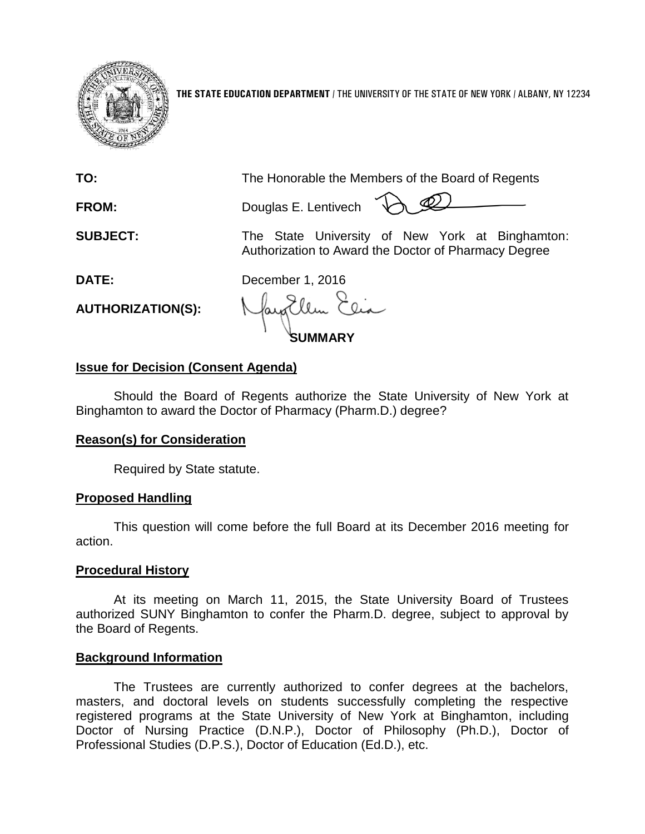

**THE STATE EDUCATION DEPARTMENT** / THE UNIVERSITY OF THE STATE OF NEW YORK / ALBANY, NY 12234

**TO:** The Honorable the Members of the Board of Regents

**FROM:** Douglas E. Lentivech

**SUBJECT:** The State University of New York at Binghamton: Authorization to Award the Doctor of Pharmacy Degree

**DATE:** December 1, 2016

**AUTHORIZATION(S):**

**SUMMARY**

# **Issue for Decision (Consent Agenda)**

Should the Board of Regents authorize the State University of New York at Binghamton to award the Doctor of Pharmacy (Pharm.D.) degree?

## **Reason(s) for Consideration**

Required by State statute.

## **Proposed Handling**

This question will come before the full Board at its December 2016 meeting for action.

### **Procedural History**

At its meeting on March 11, 2015, the State University Board of Trustees authorized SUNY Binghamton to confer the Pharm.D. degree, subject to approval by the Board of Regents.

### **Background Information**

The Trustees are currently authorized to confer degrees at the bachelors, masters, and doctoral levels on students successfully completing the respective registered programs at the State University of New York at Binghamton, including Doctor of Nursing Practice (D.N.P.), Doctor of Philosophy (Ph.D.), Doctor of Professional Studies (D.P.S.), Doctor of Education (Ed.D.), etc.